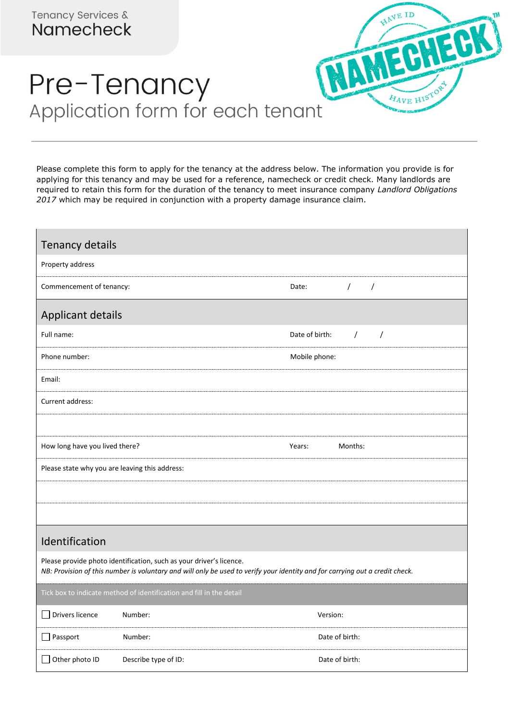

## Pre-Tenancy Application form for each tenant

Please complete this form to apply for the tenancy at the address below. The information you provide is for applying for this tenancy and may be used for a reference, namecheck or credit check. Many landlords are required to retain this form for the duration of the tenancy to meet insurance company *Landlord Obligations 2017* which may be required in conjunction with a property damage insurance claim.

| Tenancy details                                                                                                                                                                                     |                      |                                          |  |
|-----------------------------------------------------------------------------------------------------------------------------------------------------------------------------------------------------|----------------------|------------------------------------------|--|
| Property address                                                                                                                                                                                    |                      |                                          |  |
| Commencement of tenancy:                                                                                                                                                                            |                      | $\sqrt{ }$<br>$\sqrt{ }$<br>Date:        |  |
| <b>Applicant details</b>                                                                                                                                                                            |                      |                                          |  |
| Full name:                                                                                                                                                                                          |                      | Date of birth:<br>$\sqrt{2}$<br>$\prime$ |  |
| Phone number:                                                                                                                                                                                       |                      | Mobile phone:                            |  |
| Email:                                                                                                                                                                                              |                      |                                          |  |
| Current address:                                                                                                                                                                                    |                      |                                          |  |
|                                                                                                                                                                                                     |                      |                                          |  |
| How long have you lived there?                                                                                                                                                                      |                      | Years:<br>Months:                        |  |
| Please state why you are leaving this address:                                                                                                                                                      |                      |                                          |  |
|                                                                                                                                                                                                     |                      |                                          |  |
|                                                                                                                                                                                                     |                      |                                          |  |
| Identification                                                                                                                                                                                      |                      |                                          |  |
| Please provide photo identification, such as your driver's licence.<br>NB: Provision of this number is voluntary and will only be used to verify your identity and for carrying out a credit check. |                      |                                          |  |
| Tick box to indicate method of identification and fill in the detail                                                                                                                                |                      |                                          |  |
| Drivers licence                                                                                                                                                                                     | Number:              | Version:                                 |  |
| $\Box$ Passport                                                                                                                                                                                     | Number:              | Date of birth:                           |  |
| Other photo ID                                                                                                                                                                                      | Describe type of ID: | Date of birth:                           |  |